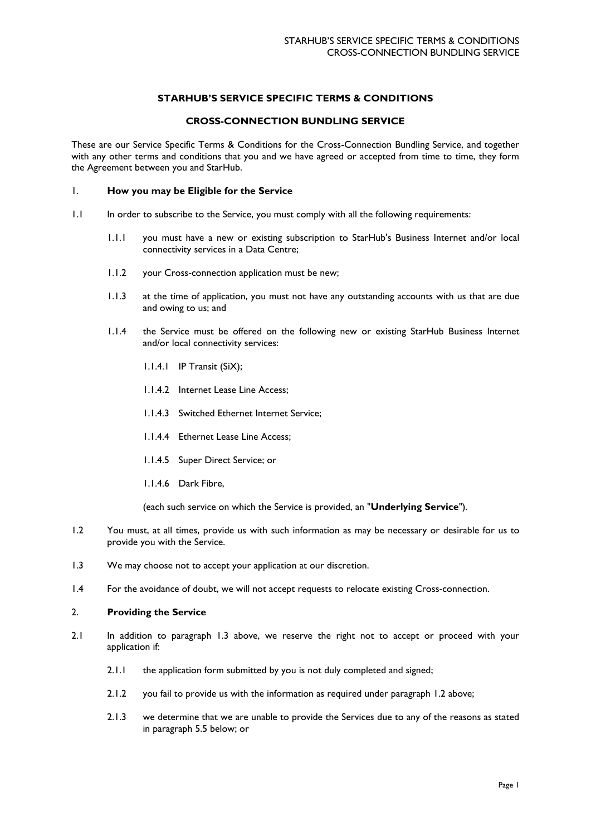# **STARHUB'S SERVICE SPECIFIC TERMS & CONDITIONS**

# **CROSS-CONNECTION BUNDLING SERVICE**

These are our Service Specific Terms & Conditions for the Cross-Connection Bundling Service, and together with any other terms and conditions that you and we have agreed or accepted from time to time, they form the Agreement between you and StarHub.

# 1. **How you may be Eligible for the Service**

- 1.1 In order to subscribe to the Service, you must comply with all the following requirements:
	- 1.1.1 you must have a new or existing subscription to StarHub's Business Internet and/or local connectivity services in a Data Centre;
	- 1.1.2 your Cross-connection application must be new;
	- 1.1.3 at the time of application, you must not have any outstanding accounts with us that are due and owing to us; and
	- 1.1.4 the Service must be offered on the following new or existing StarHub Business Internet and/or local connectivity services:
		- 1.1.4.1 IP Transit (SiX);
		- 1.1.4.2 Internet Lease Line Access;
		- 1.1.4.3 Switched Ethernet Internet Service;
		- 1.1.4.4 Ethernet Lease Line Access;
		- 1.1.4.5 Super Direct Service; or
		- 1.1.4.6 Dark Fibre,

(each such service on which the Service is provided, an "**Underlying Service**").

- 1.2 You must, at all times, provide us with such information as may be necessary or desirable for us to provide you with the Service.
- 1.3 We may choose not to accept your application at our discretion.
- 1.4 For the avoidance of doubt, we will not accept requests to relocate existing Cross-connection.

## 2. **Providing the Service**

- 2.1 In addition to paragraph 1.3 above, we reserve the right not to accept or proceed with your application if:
	- 2.1.1 the application form submitted by you is not duly completed and signed;
	- 2.1.2 you fail to provide us with the information as required under paragraph 1.2 above;
	- 2.1.3 we determine that we are unable to provide the Services due to any of the reasons as stated in paragraph 5.5 below; or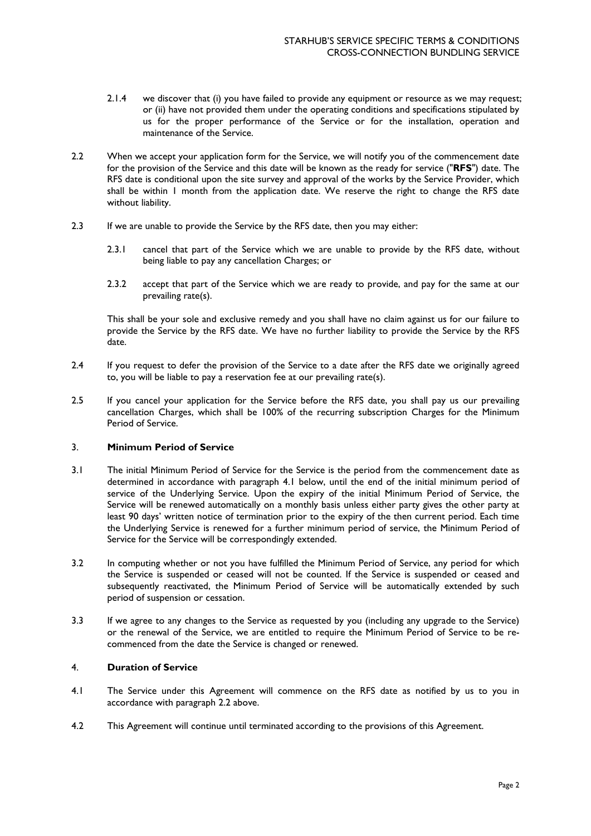- 2.1.4 we discover that (i) you have failed to provide any equipment or resource as we may request; or (ii) have not provided them under the operating conditions and specifications stipulated by us for the proper performance of the Service or for the installation, operation and maintenance of the Service.
- 2.2 When we accept your application form for the Service, we will notify you of the commencement date for the provision of the Service and this date will be known as the ready for service ("**RFS**") date. The RFS date is conditional upon the site survey and approval of the works by the Service Provider, which shall be within 1 month from the application date. We reserve the right to change the RFS date without liability.
- 2.3 If we are unable to provide the Service by the RFS date, then you may either:
	- 2.3.1 cancel that part of the Service which we are unable to provide by the RFS date, without being liable to pay any cancellation Charges; or
	- 2.3.2 accept that part of the Service which we are ready to provide, and pay for the same at our prevailing rate(s).

This shall be your sole and exclusive remedy and you shall have no claim against us for our failure to provide the Service by the RFS date. We have no further liability to provide the Service by the RFS date.

- 2.4 If you request to defer the provision of the Service to a date after the RFS date we originally agreed to, you will be liable to pay a reservation fee at our prevailing rate(s).
- 2.5 If you cancel your application for the Service before the RFS date, you shall pay us our prevailing cancellation Charges, which shall be 100% of the recurring subscription Charges for the Minimum Period of Service.

## 3. **Minimum Period of Service**

- 3.1 The initial Minimum Period of Service for the Service is the period from the commencement date as determined in accordance with paragraph 4.1 below, until the end of the initial minimum period of service of the Underlying Service. Upon the expiry of the initial Minimum Period of Service, the Service will be renewed automatically on a monthly basis unless either party gives the other party at least 90 days' written notice of termination prior to the expiry of the then current period. Each time the Underlying Service is renewed for a further minimum period of service, the Minimum Period of Service for the Service will be correspondingly extended.
- 3.2 In computing whether or not you have fulfilled the Minimum Period of Service, any period for which the Service is suspended or ceased will not be counted. If the Service is suspended or ceased and subsequently reactivated, the Minimum Period of Service will be automatically extended by such period of suspension or cessation.
- 3.3 If we agree to any changes to the Service as requested by you (including any upgrade to the Service) or the renewal of the Service, we are entitled to require the Minimum Period of Service to be recommenced from the date the Service is changed or renewed.

# 4. **Duration of Service**

- 4.1 The Service under this Agreement will commence on the RFS date as notified by us to you in accordance with paragraph 2.2 above.
- 4.2 This Agreement will continue until terminated according to the provisions of this Agreement.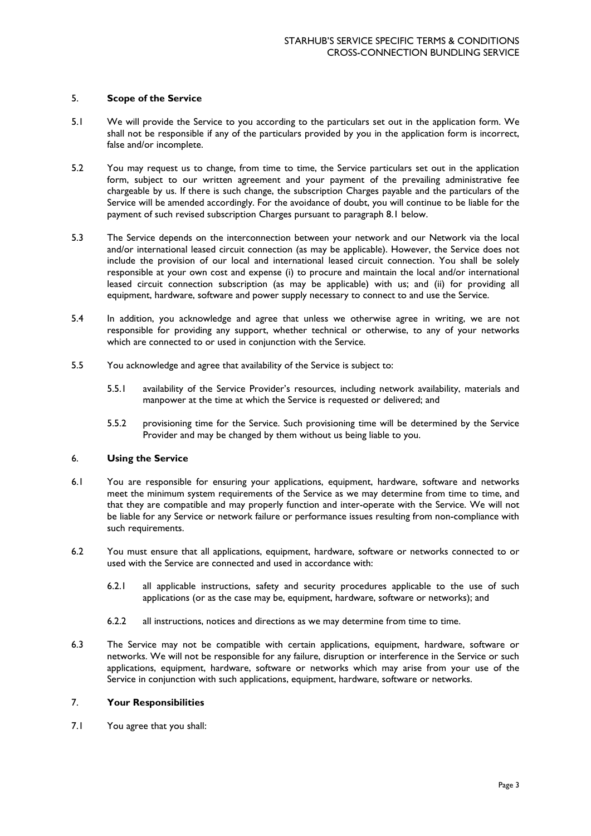### 5. **Scope of the Service**

- 5.1 We will provide the Service to you according to the particulars set out in the application form. We shall not be responsible if any of the particulars provided by you in the application form is incorrect, false and/or incomplete.
- 5.2 You may request us to change, from time to time, the Service particulars set out in the application form, subject to our written agreement and your payment of the prevailing administrative fee chargeable by us. If there is such change, the subscription Charges payable and the particulars of the Service will be amended accordingly. For the avoidance of doubt, you will continue to be liable for the payment of such revised subscription Charges pursuant to paragraph 8.1 below.
- 5.3 The Service depends on the interconnection between your network and our Network via the local and/or international leased circuit connection (as may be applicable). However, the Service does not include the provision of our local and international leased circuit connection. You shall be solely responsible at your own cost and expense (i) to procure and maintain the local and/or international leased circuit connection subscription (as may be applicable) with us; and (ii) for providing all equipment, hardware, software and power supply necessary to connect to and use the Service.
- 5.4 In addition, you acknowledge and agree that unless we otherwise agree in writing, we are not responsible for providing any support, whether technical or otherwise, to any of your networks which are connected to or used in conjunction with the Service.
- 5.5 You acknowledge and agree that availability of the Service is subject to:
	- 5.5.1 availability of the Service Provider's resources, including network availability, materials and manpower at the time at which the Service is requested or delivered; and
	- 5.5.2 provisioning time for the Service. Such provisioning time will be determined by the Service Provider and may be changed by them without us being liable to you.

#### 6. **Using the Service**

- 6.1 You are responsible for ensuring your applications, equipment, hardware, software and networks meet the minimum system requirements of the Service as we may determine from time to time, and that they are compatible and may properly function and inter-operate with the Service. We will not be liable for any Service or network failure or performance issues resulting from non-compliance with such requirements.
- 6.2 You must ensure that all applications, equipment, hardware, software or networks connected to or used with the Service are connected and used in accordance with:
	- 6.2.1 all applicable instructions, safety and security procedures applicable to the use of such applications (or as the case may be, equipment, hardware, software or networks); and
	- 6.2.2 all instructions, notices and directions as we may determine from time to time.
- 6.3 The Service may not be compatible with certain applications, equipment, hardware, software or networks. We will not be responsible for any failure, disruption or interference in the Service or such applications, equipment, hardware, software or networks which may arise from your use of the Service in conjunction with such applications, equipment, hardware, software or networks.

# 7. **Your Responsibilities**

7.1 You agree that you shall: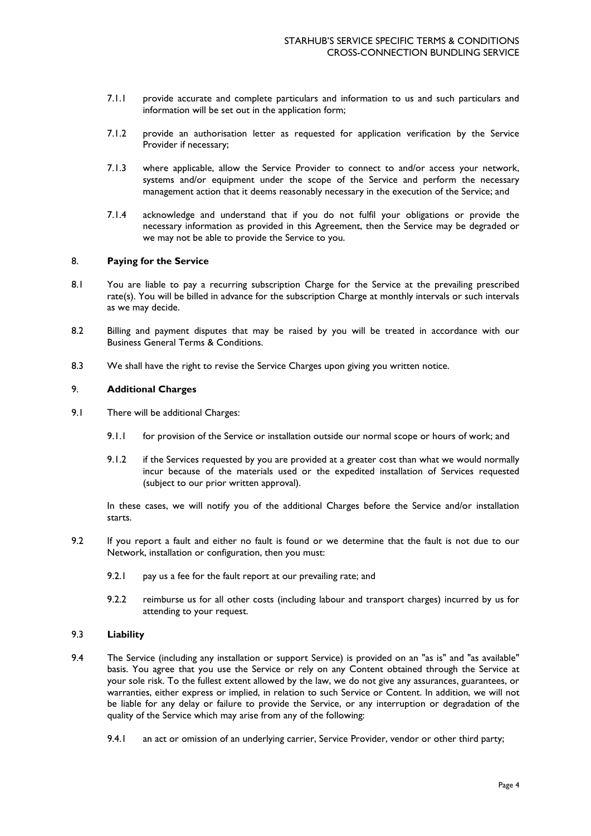- 7.1.1 provide accurate and complete particulars and information to us and such particulars and information will be set out in the application form;
- 7.1.2 provide an authorisation letter as requested for application verification by the Service Provider if necessary;
- 7.1.3 where applicable, allow the Service Provider to connect to and/or access your network, systems and/or equipment under the scope of the Service and perform the necessary management action that it deems reasonably necessary in the execution of the Service; and
- 7.1.4 acknowledge and understand that if you do not fulfil your obligations or provide the necessary information as provided in this Agreement, then the Service may be degraded or we may not be able to provide the Service to you.

### 8. **Paying for the Service**

- 8.1 You are liable to pay a recurring subscription Charge for the Service at the prevailing prescribed rate(s). You will be billed in advance for the subscription Charge at monthly intervals or such intervals as we may decide.
- 8.2 Billing and payment disputes that may be raised by you will be treated in accordance with our Business General Terms & Conditions.
- 8.3 We shall have the right to revise the Service Charges upon giving you written notice.

# 9. **Additional Charges**

- 9.1 There will be additional Charges:
	- 9.1.1 for provision of the Service or installation outside our normal scope or hours of work; and
	- 9.1.2 if the Services requested by you are provided at a greater cost than what we would normally incur because of the materials used or the expedited installation of Services requested (subject to our prior written approval).

In these cases, we will notify you of the additional Charges before the Service and/or installation starts.

- 9.2 If you report a fault and either no fault is found or we determine that the fault is not due to our Network, installation or configuration, then you must:
	- 9.2.1 pay us a fee for the fault report at our prevailing rate; and
	- 9.2.2 reimburse us for all other costs (including labour and transport charges) incurred by us for attending to your request.

## 9.3 **Liability**

- 9.4 The Service (including any installation or support Service) is provided on an "as is" and "as available" basis. You agree that you use the Service or rely on any Content obtained through the Service at your sole risk. To the fullest extent allowed by the law, we do not give any assurances, guarantees, or warranties, either express or implied, in relation to such Service or Content. In addition, we will not be liable for any delay or failure to provide the Service, or any interruption or degradation of the quality of the Service which may arise from any of the following:
	- 9.4.1 an act or omission of an underlying carrier, Service Provider, vendor or other third party;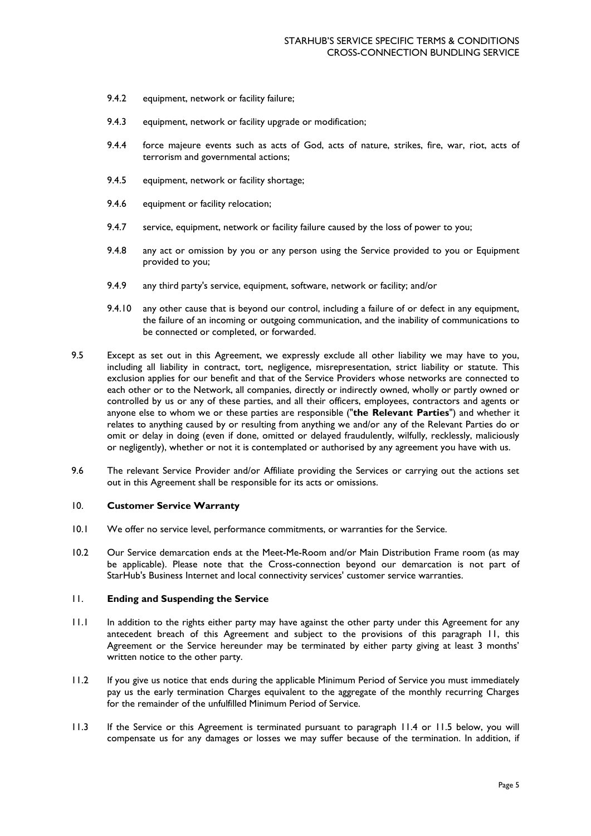- 9.4.2 equipment, network or facility failure;
- 9.4.3 equipment, network or facility upgrade or modification;
- 9.4.4 force majeure events such as acts of God, acts of nature, strikes, fire, war, riot, acts of terrorism and governmental actions;
- 9.4.5 equipment, network or facility shortage:
- 9.4.6 equipment or facility relocation;
- 9.4.7 service, equipment, network or facility failure caused by the loss of power to you;
- 9.4.8 any act or omission by you or any person using the Service provided to you or Equipment provided to you;
- 9.4.9 any third party's service, equipment, software, network or facility; and/or
- 9.4.10 any other cause that is beyond our control, including a failure of or defect in any equipment, the failure of an incoming or outgoing communication, and the inability of communications to be connected or completed, or forwarded.
- 9.5 Except as set out in this Agreement, we expressly exclude all other liability we may have to you, including all liability in contract, tort, negligence, misrepresentation, strict liability or statute. This exclusion applies for our benefit and that of the Service Providers whose networks are connected to each other or to the Network, all companies, directly or indirectly owned, wholly or partly owned or controlled by us or any of these parties, and all their officers, employees, contractors and agents or anyone else to whom we or these parties are responsible ("**the Relevant Parties**") and whether it relates to anything caused by or resulting from anything we and/or any of the Relevant Parties do or omit or delay in doing (even if done, omitted or delayed fraudulently, wilfully, recklessly, maliciously or negligently), whether or not it is contemplated or authorised by any agreement you have with us.
- 9.6 The relevant Service Provider and/or Affiliate providing the Services or carrying out the actions set out in this Agreement shall be responsible for its acts or omissions.

# 10. **Customer Service Warranty**

- 10.1 We offer no service level, performance commitments, or warranties for the Service.
- 10.2 Our Service demarcation ends at the Meet-Me-Room and/or Main Distribution Frame room (as may be applicable). Please note that the Cross-connection beyond our demarcation is not part of StarHub's Business Internet and local connectivity services' customer service warranties.

#### 11. **Ending and Suspending the Service**

- 11.1 In addition to the rights either party may have against the other party under this Agreement for any antecedent breach of this Agreement and subject to the provisions of this paragraph 11, this Agreement or the Service hereunder may be terminated by either party giving at least 3 months' written notice to the other party.
- 11.2 If you give us notice that ends during the applicable Minimum Period of Service you must immediately pay us the early termination Charges equivalent to the aggregate of the monthly recurring Charges for the remainder of the unfulfilled Minimum Period of Service.
- 11.3 If the Service or this Agreement is terminated pursuant to paragraph 11.4 or 11.5 below, you will compensate us for any damages or losses we may suffer because of the termination. In addition, if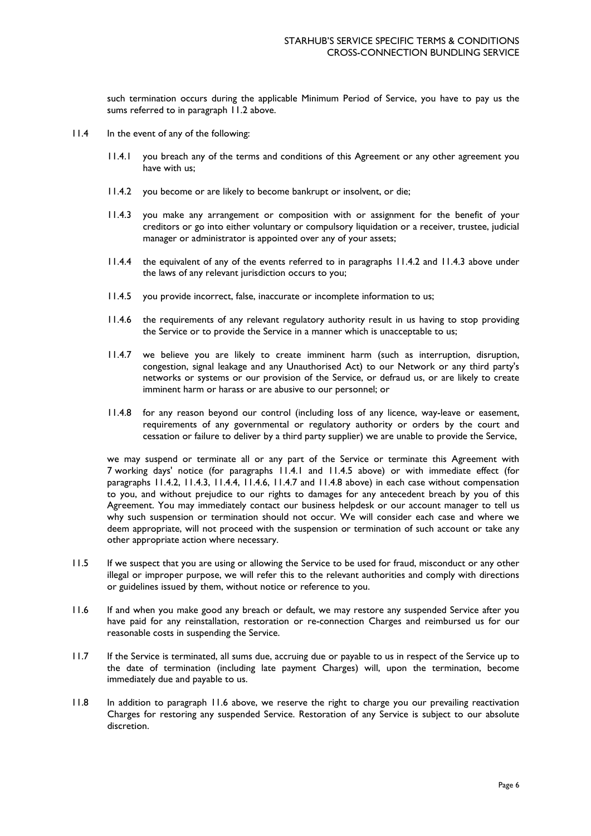such termination occurs during the applicable Minimum Period of Service, you have to pay us the sums referred to in paragraph 11.2 above.

- 11.4 In the event of any of the following:
	- 11.4.1 you breach any of the terms and conditions of this Agreement or any other agreement you have with us;
	- 11.4.2 you become or are likely to become bankrupt or insolvent, or die;
	- 11.4.3 you make any arrangement or composition with or assignment for the benefit of your creditors or go into either voluntary or compulsory liquidation or a receiver, trustee, judicial manager or administrator is appointed over any of your assets;
	- 11.4.4 the equivalent of any of the events referred to in paragraphs 11.4.2 and 11.4.3 above under the laws of any relevant jurisdiction occurs to you;
	- 11.4.5 you provide incorrect, false, inaccurate or incomplete information to us;
	- 11.4.6 the requirements of any relevant regulatory authority result in us having to stop providing the Service or to provide the Service in a manner which is unacceptable to us;
	- 11.4.7 we believe you are likely to create imminent harm (such as interruption, disruption, congestion, signal leakage and any Unauthorised Act) to our Network or any third party's networks or systems or our provision of the Service, or defraud us, or are likely to create imminent harm or harass or are abusive to our personnel; or
	- 11.4.8 for any reason beyond our control (including loss of any licence, way-leave or easement, requirements of any governmental or regulatory authority or orders by the court and cessation or failure to deliver by a third party supplier) we are unable to provide the Service,

we may suspend or terminate all or any part of the Service or terminate this Agreement with 7 working days' notice (for paragraphs 11.4.1 and 11.4.5 above) or with immediate effect (for paragraphs 11.4.2, 11.4.3, 11.4.4, 11.4.6, 11.4.7 and 11.4.8 above) in each case without compensation to you, and without prejudice to our rights to damages for any antecedent breach by you of this Agreement. You may immediately contact our business helpdesk or our account manager to tell us why such suspension or termination should not occur. We will consider each case and where we deem appropriate, will not proceed with the suspension or termination of such account or take any other appropriate action where necessary.

- 11.5 If we suspect that you are using or allowing the Service to be used for fraud, misconduct or any other illegal or improper purpose, we will refer this to the relevant authorities and comply with directions or guidelines issued by them, without notice or reference to you.
- 11.6 If and when you make good any breach or default, we may restore any suspended Service after you have paid for any reinstallation, restoration or re-connection Charges and reimbursed us for our reasonable costs in suspending the Service.
- 11.7 If the Service is terminated, all sums due, accruing due or payable to us in respect of the Service up to the date of termination (including late payment Charges) will, upon the termination, become immediately due and payable to us.
- 11.8 In addition to paragraph 11.6 above, we reserve the right to charge you our prevailing reactivation Charges for restoring any suspended Service. Restoration of any Service is subject to our absolute discretion.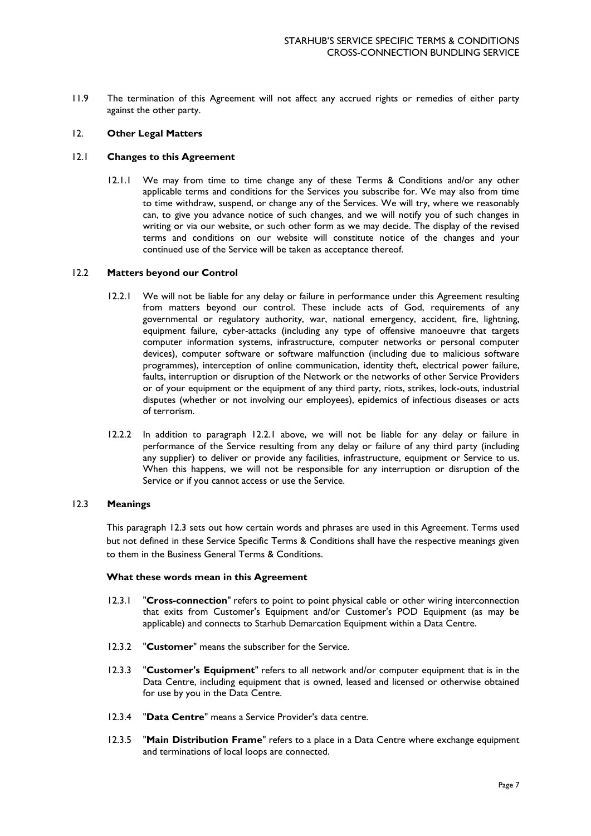11.9 The termination of this Agreement will not affect any accrued rights or remedies of either party against the other party.

### 12. **Other Legal Matters**

#### 12.1 **Changes to this Agreement**

12.1.1 We may from time to time change any of these Terms & Conditions and/or any other applicable terms and conditions for the Services you subscribe for. We may also from time to time withdraw, suspend, or change any of the Services. We will try, where we reasonably can, to give you advance notice of such changes, and we will notify you of such changes in writing or via our website, or such other form as we may decide. The display of the revised terms and conditions on our website will constitute notice of the changes and your continued use of the Service will be taken as acceptance thereof.

#### 12.2 **Matters beyond our Control**

- 12.2.1 We will not be liable for any delay or failure in performance under this Agreement resulting from matters beyond our control. These include acts of God, requirements of any governmental or regulatory authority, war, national emergency, accident, fire, lightning, equipment failure, cyber-attacks (including any type of offensive manoeuvre that targets computer information systems, infrastructure, computer networks or personal computer devices), computer software or software malfunction (including due to malicious software programmes), interception of online communication, identity theft, electrical power failure, faults, interruption or disruption of the Network or the networks of other Service Providers or of your equipment or the equipment of any third party, riots, strikes, lock-outs, industrial disputes (whether or not involving our employees), epidemics of infectious diseases or acts of terrorism.
- 12.2.2 In addition to paragraph 12.2.1 above, we will not be liable for any delay or failure in performance of the Service resulting from any delay or failure of any third party (including any supplier) to deliver or provide any facilities, infrastructure, equipment or Service to us. When this happens, we will not be responsible for any interruption or disruption of the Service or if you cannot access or use the Service.

#### 12.3 **Meanings**

This paragraph 12.3 sets out how certain words and phrases are used in this Agreement. Terms used but not defined in these Service Specific Terms & Conditions shall have the respective meanings given to them in the Business General Terms & Conditions.

#### **What these words mean in this Agreement**

- 12.3.1 "**Cross-connection**" refers to point to point physical cable or other wiring interconnection that exits from Customer's Equipment and/or Customer's POD Equipment (as may be applicable) and connects to Starhub Demarcation Equipment within a Data Centre.
- 12.3.2 "**Customer**" means the subscriber for the Service.
- 12.3.3 "**Customer's Equipment**" refers to all network and/or computer equipment that is in the Data Centre, including equipment that is owned, leased and licensed or otherwise obtained for use by you in the Data Centre.
- 12.3.4 "**Data Centre**" means a Service Provider's data centre.
- 12.3.5 "**Main Distribution Frame**" refers to a place in a Data Centre where exchange equipment and terminations of local loops are connected.